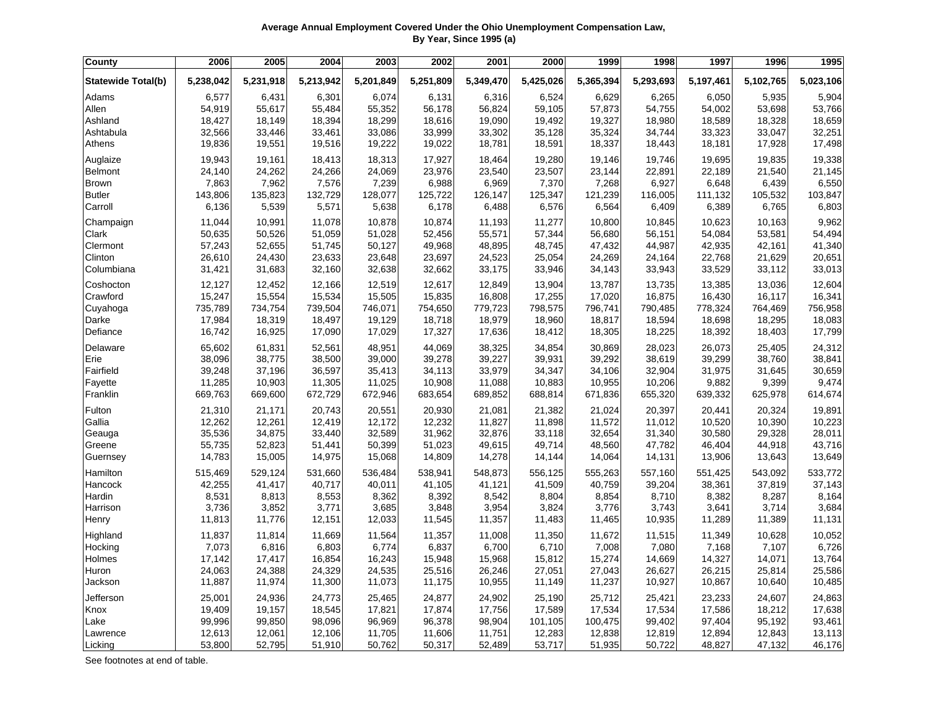## **Average Annual Employment Covered Under the Ohio Unemployment Compensation Law, By Year, Since 1995 (a)**

| County                    | 2006      | 2005      | 2004      | 2003      | 2002      | 2001      | 2000      | 1999      | 1998      | 1997      | 1996      | 1995      |
|---------------------------|-----------|-----------|-----------|-----------|-----------|-----------|-----------|-----------|-----------|-----------|-----------|-----------|
| <b>Statewide Total(b)</b> | 5,238,042 | 5,231,918 | 5,213,942 | 5,201,849 | 5,251,809 | 5,349,470 | 5,425,026 | 5,365,394 | 5,293,693 | 5,197,461 | 5,102,765 | 5,023,106 |
| Adams                     | 6,577     | 6,431     | 6,301     | 6,074     | 6,131     | 6,316     | 6,524     | 6,629     | 6,265     | 6,050     | 5,935     | 5,904     |
| Allen                     | 54,919    | 55,617    | 55,484    | 55,352    | 56,178    | 56,824    | 59,105    | 57,873    | 54,755    | 54,002    | 53,698    | 53,766    |
| Ashland                   | 18,427    | 18,149    | 18,394    | 18,299    | 18,616    | 19,090    | 19,492    | 19,327    | 18,980    | 18,589    | 18,328    | 18,659    |
| Ashtabula                 | 32,566    | 33,446    | 33,461    | 33,086    | 33,999    | 33,302    | 35,128    | 35,324    | 34,744    | 33,323    | 33,047    | 32,251    |
| Athens                    | 19,836    | 19,551    | 19,516    | 19,222    | 19,022    | 18,781    | 18,591    | 18,337    | 18,443    | 18,181    | 17,928    | 17,498    |
| Auglaize                  | 19,943    | 19,161    | 18,413    | 18,313    | 17,927    | 18,464    | 19,280    | 19,146    | 19,746    | 19,695    | 19,835    | 19,338    |
| <b>Belmont</b>            | 24,140    | 24,262    | 24,266    | 24,069    | 23,976    | 23,540    | 23,507    | 23,144    | 22,891    | 22,189    | 21,540    | 21,145    |
| <b>Brown</b>              | 7,863     | 7,962     | 7,576     | 7,239     | 6,988     | 6,969     | 7,370     | 7,268     | 6,927     | 6,648     | 6,439     | 6,550     |
| <b>Butler</b>             | 143,806   | 135,823   | 132,729   | 128,077   | 125,722   | 126,147   | 125,347   | 121,239   | 116,005   | 111,132   | 105,532   | 103,847   |
| Carroll                   | 6,136     | 5,539     | 5,571     | 5,638     | 6,178     | 6,488     | 6,576     | 6,564     | 6,409     | 6,389     | 6,765     | 6,803     |
| Champaign                 | 11,044    | 10,991    | 11,078    | 10,878    | 10,874    | 11,193    | 11,277    | 10,800    | 10,845    | 10,623    | 10,163    | 9,962     |
| Clark                     | 50,635    | 50,526    | 51,059    | 51,028    | 52,456    | 55,571    | 57,344    | 56,680    | 56,151    | 54,084    | 53,581    | 54,494    |
| Clermont                  | 57,243    | 52,655    | 51,745    | 50,127    | 49,968    | 48,895    | 48,745    | 47,432    | 44,987    | 42,935    | 42,161    | 41,340    |
| Clinton                   | 26,610    | 24,430    | 23,633    | 23,648    | 23,697    | 24,523    | 25,054    | 24,269    | 24,164    | 22,768    | 21,629    | 20,651    |
| Columbiana                | 31,421    | 31,683    | 32,160    | 32,638    | 32,662    | 33,175    | 33,946    | 34,143    | 33,943    | 33,529    | 33,112    | 33,013    |
| Coshocton                 | 12,127    | 12,452    | 12,166    | 12,519    | 12,617    | 12,849    | 13,904    | 13,787    | 13,735    | 13,385    | 13,036    | 12,604    |
| Crawford                  | 15,247    | 15,554    | 15,534    | 15,505    | 15,835    | 16,808    | 17,255    | 17,020    | 16,875    | 16,430    | 16,117    | 16,341    |
| Cuyahoga                  | 735,789   | 734,754   | 739,504   | 746,071   | 754,650   | 779,723   | 798,575   | 796,741   | 790,485   | 778,324   | 764,469   | 756,958   |
| Darke                     | 17,984    | 18,319    | 18,497    | 19,129    | 18,718    | 18,979    | 18,960    | 18,817    | 18,594    | 18,698    | 18,295    | 18,083    |
| Defiance                  | 16,742    | 16,925    | 17,090    | 17,029    | 17,327    | 17,636    | 18,412    | 18,305    | 18,225    | 18,392    | 18,403    | 17,799    |
| Delaware                  | 65,602    | 61,831    | 52,561    | 48,951    | 44,069    | 38,325    | 34,854    | 30,869    | 28,023    | 26,073    | 25,405    | 24,312    |
| Erie                      | 38,096    | 38,775    | 38,500    | 39,000    | 39,278    | 39,227    | 39,931    | 39,292    | 38,619    | 39,299    | 38,760    | 38,841    |
| Fairfield                 | 39,248    | 37,196    | 36,597    | 35,413    | 34,113    | 33,979    | 34,347    | 34,106    | 32,904    | 31,975    | 31,645    | 30,659    |
| Fayette                   | 11,285    | 10,903    | 11,305    | 11,025    | 10,908    | 11,088    | 10,883    | 10,955    | 10,206    | 9,882     | 9,399     | 9,474     |
| Franklin                  | 669,763   | 669,600   | 672,729   | 672,946   | 683,654   | 689,852   | 688,814   | 671,836   | 655,320   | 639,332   | 625,978   | 614,674   |
| Fulton                    | 21,310    | 21,171    | 20,743    | 20,551    | 20,930    | 21,081    | 21,382    | 21,024    | 20,397    | 20,441    | 20,324    | 19,891    |
| Gallia                    | 12,262    | 12,261    | 12,419    | 12,172    | 12,232    | 11,827    | 11,898    | 11,572    | 11,012    | 10,520    | 10,390    | 10,223    |
| Geauga                    | 35,536    | 34,875    | 33,440    | 32,589    | 31,962    | 32,876    | 33,118    | 32,654    | 31,340    | 30,580    | 29,328    | 28,011    |
| Greene                    | 55,735    | 52,823    | 51,441    | 50,399    | 51,023    | 49,615    | 49,714    | 48,560    | 47,782    | 46,404    | 44,918    | 43,716    |
| Guernsey                  | 14,783    | 15,005    | 14,975    | 15,068    | 14,809    | 14,278    | 14,144    | 14,064    | 14,131    | 13,906    | 13,643    | 13,649    |
| Hamilton                  | 515,469   | 529,124   | 531,660   | 536,484   | 538,941   | 548,873   | 556,125   | 555,263   | 557,160   | 551,425   | 543,092   | 533,772   |
| Hancock                   | 42,255    | 41,417    | 40,717    | 40,011    | 41,105    | 41,121    | 41,509    | 40,759    | 39,204    | 38,361    | 37,819    | 37,143    |
| Hardin                    | 8,531     | 8,813     | 8,553     | 8,362     | 8,392     | 8,542     | 8,804     | 8,854     | 8,710     | 8,382     | 8,287     | 8,164     |
| Harrison                  | 3,736     | 3,852     | 3,771     | 3,685     | 3,848     | 3,954     | 3,824     | 3,776     | 3,743     | 3,641     | 3,714     | 3,684     |
| Henry                     | 11,813    | 11,776    | 12,151    | 12,033    | 11,545    | 11,357    | 11,483    | 11,465    | 10,935    | 11,289    | 11,389    | 11,131    |
| Highland                  | 11,837    | 11,814    | 11,669    | 11,564    | 11,357    | 11,008    | 11,350    | 11,672    | 11,515    | 11,349    | 10,628    | 10,052    |
| Hocking                   | 7,073     | 6,816     | 6,803     | 6,774     | 6,837     | 6,700     | 6,710     | 7,008     | 7,080     | 7,168     | 7,107     | 6,726     |
| Holmes                    | 17,142    | 17,417    | 16,854    | 16,243    | 15,948    | 15,968    | 15,812    | 15,274    | 14,669    | 14,327    | 14,071    | 13,764    |
| Huron                     | 24,063    | 24,388    | 24,329    | 24,535    | 25,516    | 26,246    | 27,051    | 27,043    | 26,627    | 26,215    | 25,814    | 25,586    |
| Jackson                   | 11,887    | 11,974    | 11,300    | 11,073    | 11,175    | 10,955    | 11,149    | 11,237    | 10,927    | 10,867    | 10,640    | 10,485    |
| Jefferson                 | 25,001    | 24,936    | 24,773    | 25,465    | 24,877    | 24,902    | 25,190    | 25,712    | 25,421    | 23,233    | 24,607    | 24,863    |
| Knox                      | 19,409    | 19,157    | 18,545    | 17,821    | 17,874    | 17,756    | 17,589    | 17,534    | 17,534    | 17,586    | 18,212    | 17,638    |
| Lake                      | 99,996    | 99,850    | 98,096    | 96,969    | 96,378    | 98,904    | 101,105   | 100,475   | 99,402    | 97,404    | 95,192    | 93,461    |
| Lawrence                  | 12,613    | 12,061    | 12,106    | 11,705    | 11,606    | 11,751    | 12,283    | 12,838    | 12,819    | 12,894    | 12,843    | 13,113    |
| Licking                   | 53,800    | 52,795    | 51,910    | 50,762    | 50,317    | 52,489    | 53,717    | 51,935    | 50,722    | 48,827    | 47,132    | 46,176    |

See footnotes at end of table.